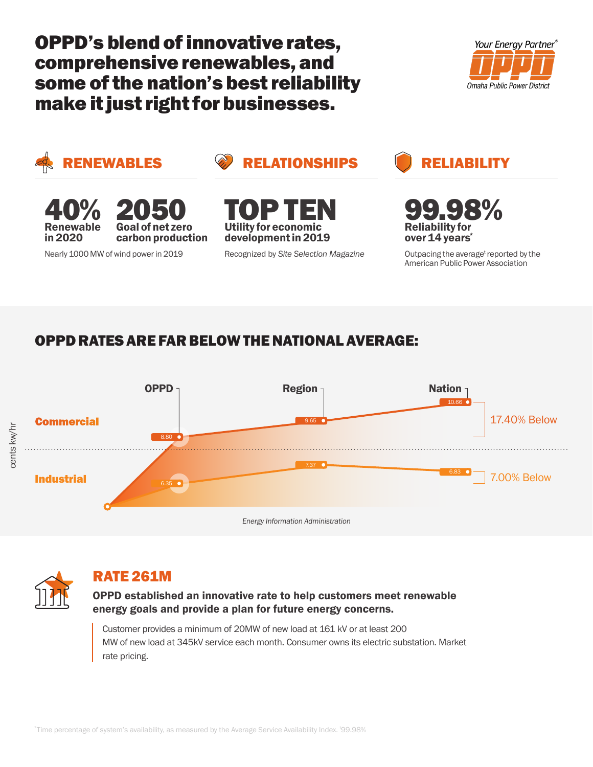OPPD's blend of innovative rates, comprehensive renewables, and some of the nation's best reliability make it just right for businesses.





RENEWABLES **CONSTRUCTED RELIGIBLITY** 



Nearly 1000 MW of wind power in 2019 Recognized by *Site Selection Magazine*





99.98% Reliability for over 14 years<sup>\*</sup>

Outpacing the average<sup>t</sup> reported by the American Public Power Association

# OPPD RATES ARE FAR BELOW THE NATIONAL AVERAGE:





### RATE 261M

OPPD established an innovative rate to help customers meet renewable energy goals and provide a plan for future energy concerns.

Customer provides a minimum of 20MW of new load at 161 kV or at least 200 MW of new load at 345kV service each month. Consumer owns its electric substation. Market rate pricing.